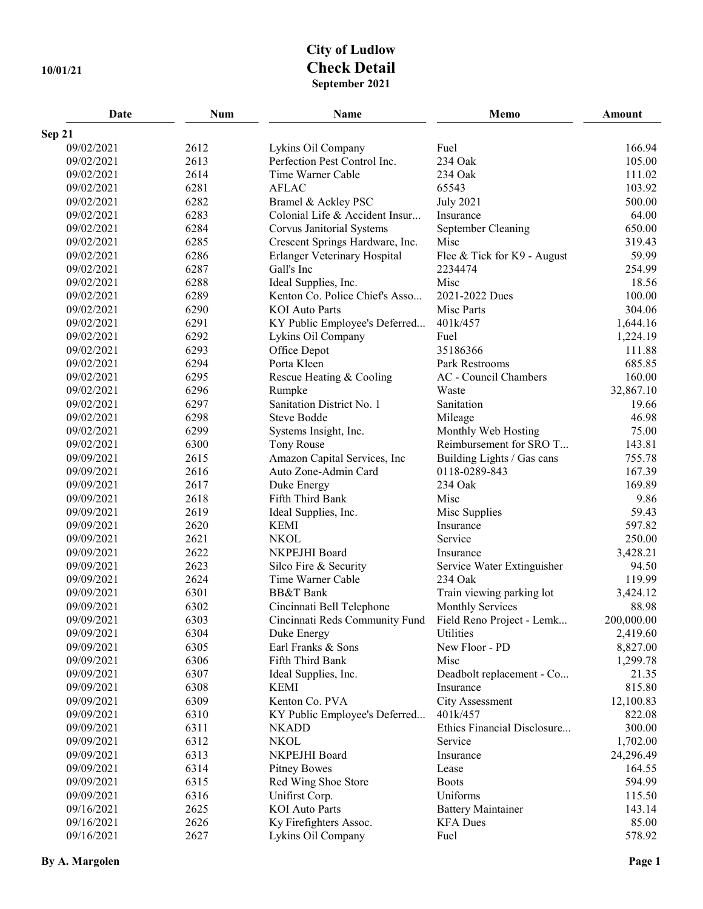## **City of Ludlow 10/01/21 Check Detail September 2021**

| Date       | Num  | <b>Name</b>                      | Memo                         | Amount     |
|------------|------|----------------------------------|------------------------------|------------|
| Sep 21     |      |                                  |                              |            |
| 09/02/2021 | 2612 | Lykins Oil Company               | Fuel                         | 166.94     |
| 09/02/2021 | 2613 | Perfection Pest Control Inc.     | 234 Oak                      | 105.00     |
| 09/02/2021 | 2614 | Time Warner Cable                | 234 Oak                      | 111.02     |
| 09/02/2021 | 6281 | <b>AFLAC</b>                     | 65543                        | 103.92     |
| 09/02/2021 | 6282 | Bramel & Ackley PSC              | <b>July 2021</b>             | 500.00     |
| 09/02/2021 | 6283 | Colonial Life & Accident Insur   | Insurance                    | 64.00      |
| 09/02/2021 | 6284 | <b>Corvus Janitorial Systems</b> | September Cleaning           | 650.00     |
| 09/02/2021 | 6285 | Crescent Springs Hardware, Inc.  | Misc                         | 319.43     |
| 09/02/2021 | 6286 | Erlanger Veterinary Hospital     | Flee & Tick for K9 - August  | 59.99      |
| 09/02/2021 | 6287 | Gall's Inc                       | 2234474                      | 254.99     |
| 09/02/2021 | 6288 | Ideal Supplies, Inc.             | Misc                         | 18.56      |
| 09/02/2021 | 6289 | Kenton Co. Police Chief's Asso   | 2021-2022 Dues               | 100.00     |
| 09/02/2021 | 6290 | <b>KOI</b> Auto Parts            | Misc Parts                   | 304.06     |
| 09/02/2021 | 6291 | KY Public Employee's Deferred    | 401k/457                     | 1,644.16   |
| 09/02/2021 | 6292 | Lykins Oil Company               | Fuel                         | 1,224.19   |
| 09/02/2021 | 6293 | Office Depot                     | 35186366                     | 111.88     |
| 09/02/2021 | 6294 | Porta Kleen                      | Park Restrooms               | 685.85     |
| 09/02/2021 | 6295 | Rescue Heating & Cooling         | <b>AC</b> - Council Chambers | 160.00     |
| 09/02/2021 | 6296 | Rumpke                           | Waste                        | 32,867.10  |
| 09/02/2021 | 6297 | Sanitation District No. 1        | Sanitation                   | 19.66      |
| 09/02/2021 | 6298 | <b>Steve Bodde</b>               | Mileage                      | 46.98      |
| 09/02/2021 | 6299 | Systems Insight, Inc.            | Monthly Web Hosting          | 75.00      |
| 09/02/2021 | 6300 | Tony Rouse                       | Reimbursement for SRO T      | 143.81     |
| 09/09/2021 | 2615 | Amazon Capital Services, Inc     | Building Lights / Gas cans   | 755.78     |
| 09/09/2021 | 2616 | Auto Zone-Admin Card             | 0118-0289-843                | 167.39     |
| 09/09/2021 | 2617 | Duke Energy                      | 234 Oak                      | 169.89     |
| 09/09/2021 | 2618 | Fifth Third Bank                 | Misc                         | 9.86       |
| 09/09/2021 | 2619 | Ideal Supplies, Inc.             | Misc Supplies                | 59.43      |
| 09/09/2021 | 2620 | <b>KEMI</b>                      | Insurance                    | 597.82     |
| 09/09/2021 | 2621 | <b>NKOL</b>                      | Service                      | 250.00     |
| 09/09/2021 | 2622 | NKPEJHI Board                    | Insurance                    | 3,428.21   |
| 09/09/2021 | 2623 | Silco Fire & Security            | Service Water Extinguisher   | 94.50      |
| 09/09/2021 | 2624 | Time Warner Cable                | 234 Oak                      | 119.99     |
| 09/09/2021 | 6301 | <b>BB&amp;T</b> Bank             | Train viewing parking lot    | 3,424.12   |
| 09/09/2021 | 6302 | Cincinnati Bell Telephone        | <b>Monthly Services</b>      | 88.98      |
| 09/09/2021 | 6303 | Cincinnati Reds Community Fund   | Field Reno Project - Lemk    | 200,000.00 |
| 09/09/2021 | 6304 | Duke Energy                      | Utilities                    | 2,419.60   |
| 09/09/2021 | 6305 | Earl Franks & Sons               | New Floor - PD               | 8,827.00   |
| 09/09/2021 | 6306 | Fifth Third Bank                 | Misc                         | 1,299.78   |
| 09/09/2021 | 6307 | Ideal Supplies, Inc.             | Deadbolt replacement - Co    | 21.35      |
| 09/09/2021 | 6308 | <b>KEMI</b>                      | Insurance                    | 815.80     |
| 09/09/2021 | 6309 | Kenton Co. PVA                   | City Assessment              | 12,100.83  |
| 09/09/2021 | 6310 | KY Public Employee's Deferred    | 401k/457                     | 822.08     |
| 09/09/2021 | 6311 | <b>NKADD</b>                     | Ethics Financial Disclosure  | 300.00     |
| 09/09/2021 | 6312 | <b>NKOL</b>                      | Service                      | 1,702.00   |
| 09/09/2021 | 6313 | NKPEJHI Board                    | Insurance                    | 24,296.49  |
| 09/09/2021 | 6314 | <b>Pitney Bowes</b>              | Lease                        | 164.55     |
| 09/09/2021 | 6315 | Red Wing Shoe Store              | <b>Boots</b>                 | 594.99     |
| 09/09/2021 | 6316 | Unifirst Corp.                   | Uniforms                     | 115.50     |
| 09/16/2021 | 2625 | <b>KOI</b> Auto Parts            | <b>Battery Maintainer</b>    | 143.14     |
| 09/16/2021 | 2626 | Ky Firefighters Assoc.           | <b>KFA</b> Dues              | 85.00      |
| 09/16/2021 | 2627 | Lykins Oil Company               | Fuel                         | 578.92     |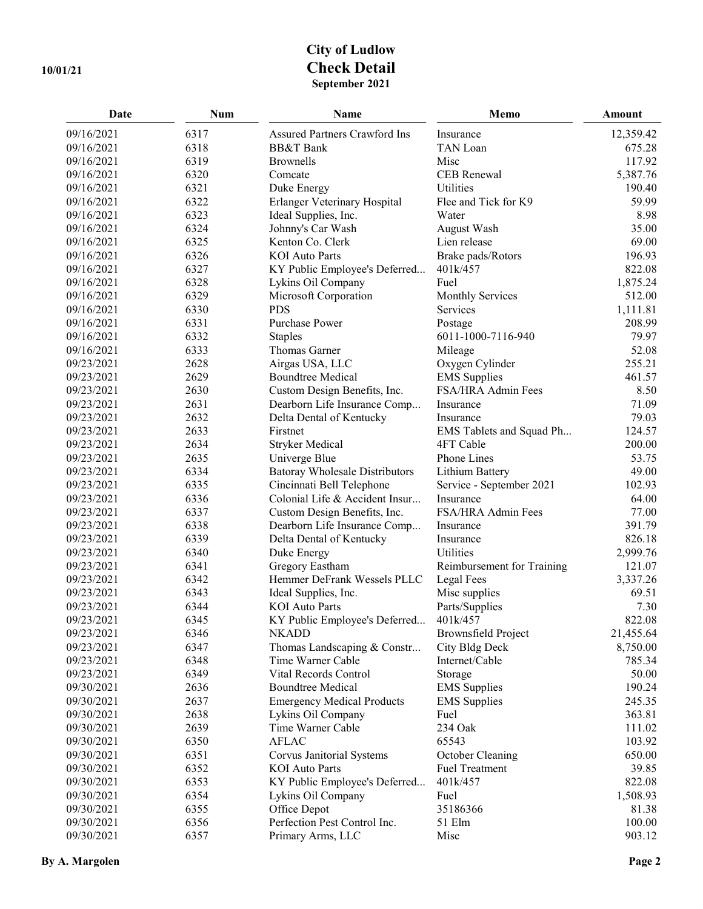## **City of Ludlow 10/01/21 Check Detail September 2021**

| 09/16/2021<br>6317<br><b>Assured Partners Crawford Ins</b><br>12,359.42<br>Insurance<br>6318<br><b>BB&amp;T</b> Bank<br>09/16/2021<br>TAN Loan<br>675.28<br>6319<br><b>Brownells</b><br>Misc<br>117.92<br>09/16/2021<br>6320<br>Comcate<br>CEB Renewal<br>5,387.76<br>09/16/2021<br>6321<br>Duke Energy<br>Utilities<br>190.40<br>09/16/2021<br>59.99<br>6322<br>Erlanger Veterinary Hospital<br>Flee and Tick for K9<br>09/16/2021<br>09/16/2021<br>6323<br>Ideal Supplies, Inc.<br>Water<br>8.98<br>6324<br>Johnny's Car Wash<br>35.00<br>09/16/2021<br>August Wash<br>6325<br>Kenton Co. Clerk<br>Lien release<br>69.00<br>09/16/2021<br>6326<br><b>KOI</b> Auto Parts<br>Brake pads/Rotors<br>196.93<br>09/16/2021<br>6327<br>401k/457<br>822.08<br>09/16/2021<br>KY Public Employee's Deferred<br>6328<br>1,875.24<br>09/16/2021<br>Fuel<br>Lykins Oil Company<br>09/16/2021<br>6329<br>Microsoft Corporation<br>512.00<br><b>Monthly Services</b><br>6330<br><b>PDS</b><br>1,111.81<br>09/16/2021<br>Services<br>09/16/2021<br>6331<br>Purchase Power<br>208.99<br>Postage<br>6332<br>6011-1000-7116-940<br>79.97<br>09/16/2021<br><b>Staples</b><br>6333<br>52.08<br>09/16/2021<br>Thomas Garner<br>Mileage<br>09/23/2021<br>2628<br>Airgas USA, LLC<br>Oxygen Cylinder<br>255.21<br>09/23/2021<br>2629<br><b>EMS</b> Supplies<br>461.57<br><b>Boundtree Medical</b><br>09/23/2021<br>2630<br>Custom Design Benefits, Inc.<br>FSA/HRA Admin Fees<br>8.50<br>09/23/2021<br>2631<br>71.09<br>Dearborn Life Insurance Comp<br>Insurance<br>79.03<br>09/23/2021<br>2632<br>Delta Dental of Kentucky<br>Insurance<br>09/23/2021<br>2633<br>Firstnet<br>124.57<br>EMS Tablets and Squad Ph<br>2634<br><b>Stryker Medical</b><br>200.00<br>09/23/2021<br>4FT Cable<br>09/23/2021<br>2635<br>Phone Lines<br>53.75<br>Univerge Blue<br>49.00<br>09/23/2021<br>6334<br><b>Batoray Wholesale Distributors</b><br>Lithium Battery<br>6335<br>102.93<br>09/23/2021<br>Cincinnati Bell Telephone<br>Service - September 2021<br>6336<br>Colonial Life & Accident Insur<br>64.00<br>09/23/2021<br>Insurance<br>6337<br>Custom Design Benefits, Inc.<br>FSA/HRA Admin Fees<br>77.00<br>09/23/2021<br>09/23/2021<br>6338<br>391.79<br>Dearborn Life Insurance Comp<br>Insurance<br>6339<br>826.18<br>09/23/2021<br>Delta Dental of Kentucky<br>Insurance | Date | <b>Num</b> | Name | Memo | Amount    |
|------------------------------------------------------------------------------------------------------------------------------------------------------------------------------------------------------------------------------------------------------------------------------------------------------------------------------------------------------------------------------------------------------------------------------------------------------------------------------------------------------------------------------------------------------------------------------------------------------------------------------------------------------------------------------------------------------------------------------------------------------------------------------------------------------------------------------------------------------------------------------------------------------------------------------------------------------------------------------------------------------------------------------------------------------------------------------------------------------------------------------------------------------------------------------------------------------------------------------------------------------------------------------------------------------------------------------------------------------------------------------------------------------------------------------------------------------------------------------------------------------------------------------------------------------------------------------------------------------------------------------------------------------------------------------------------------------------------------------------------------------------------------------------------------------------------------------------------------------------------------------------------------------------------------------------------------------------------------------------------------------------------------------------------------------------------------------------------------------------------------------------------------------------------------------------------------------------------------------------------------------------------------------------------------------------------------------------------------|------|------------|------|------|-----------|
|                                                                                                                                                                                                                                                                                                                                                                                                                                                                                                                                                                                                                                                                                                                                                                                                                                                                                                                                                                                                                                                                                                                                                                                                                                                                                                                                                                                                                                                                                                                                                                                                                                                                                                                                                                                                                                                                                                                                                                                                                                                                                                                                                                                                                                                                                                                                                |      |            |      |      |           |
|                                                                                                                                                                                                                                                                                                                                                                                                                                                                                                                                                                                                                                                                                                                                                                                                                                                                                                                                                                                                                                                                                                                                                                                                                                                                                                                                                                                                                                                                                                                                                                                                                                                                                                                                                                                                                                                                                                                                                                                                                                                                                                                                                                                                                                                                                                                                                |      |            |      |      |           |
|                                                                                                                                                                                                                                                                                                                                                                                                                                                                                                                                                                                                                                                                                                                                                                                                                                                                                                                                                                                                                                                                                                                                                                                                                                                                                                                                                                                                                                                                                                                                                                                                                                                                                                                                                                                                                                                                                                                                                                                                                                                                                                                                                                                                                                                                                                                                                |      |            |      |      |           |
|                                                                                                                                                                                                                                                                                                                                                                                                                                                                                                                                                                                                                                                                                                                                                                                                                                                                                                                                                                                                                                                                                                                                                                                                                                                                                                                                                                                                                                                                                                                                                                                                                                                                                                                                                                                                                                                                                                                                                                                                                                                                                                                                                                                                                                                                                                                                                |      |            |      |      |           |
|                                                                                                                                                                                                                                                                                                                                                                                                                                                                                                                                                                                                                                                                                                                                                                                                                                                                                                                                                                                                                                                                                                                                                                                                                                                                                                                                                                                                                                                                                                                                                                                                                                                                                                                                                                                                                                                                                                                                                                                                                                                                                                                                                                                                                                                                                                                                                |      |            |      |      |           |
|                                                                                                                                                                                                                                                                                                                                                                                                                                                                                                                                                                                                                                                                                                                                                                                                                                                                                                                                                                                                                                                                                                                                                                                                                                                                                                                                                                                                                                                                                                                                                                                                                                                                                                                                                                                                                                                                                                                                                                                                                                                                                                                                                                                                                                                                                                                                                |      |            |      |      |           |
|                                                                                                                                                                                                                                                                                                                                                                                                                                                                                                                                                                                                                                                                                                                                                                                                                                                                                                                                                                                                                                                                                                                                                                                                                                                                                                                                                                                                                                                                                                                                                                                                                                                                                                                                                                                                                                                                                                                                                                                                                                                                                                                                                                                                                                                                                                                                                |      |            |      |      |           |
|                                                                                                                                                                                                                                                                                                                                                                                                                                                                                                                                                                                                                                                                                                                                                                                                                                                                                                                                                                                                                                                                                                                                                                                                                                                                                                                                                                                                                                                                                                                                                                                                                                                                                                                                                                                                                                                                                                                                                                                                                                                                                                                                                                                                                                                                                                                                                |      |            |      |      |           |
|                                                                                                                                                                                                                                                                                                                                                                                                                                                                                                                                                                                                                                                                                                                                                                                                                                                                                                                                                                                                                                                                                                                                                                                                                                                                                                                                                                                                                                                                                                                                                                                                                                                                                                                                                                                                                                                                                                                                                                                                                                                                                                                                                                                                                                                                                                                                                |      |            |      |      |           |
|                                                                                                                                                                                                                                                                                                                                                                                                                                                                                                                                                                                                                                                                                                                                                                                                                                                                                                                                                                                                                                                                                                                                                                                                                                                                                                                                                                                                                                                                                                                                                                                                                                                                                                                                                                                                                                                                                                                                                                                                                                                                                                                                                                                                                                                                                                                                                |      |            |      |      |           |
|                                                                                                                                                                                                                                                                                                                                                                                                                                                                                                                                                                                                                                                                                                                                                                                                                                                                                                                                                                                                                                                                                                                                                                                                                                                                                                                                                                                                                                                                                                                                                                                                                                                                                                                                                                                                                                                                                                                                                                                                                                                                                                                                                                                                                                                                                                                                                |      |            |      |      |           |
|                                                                                                                                                                                                                                                                                                                                                                                                                                                                                                                                                                                                                                                                                                                                                                                                                                                                                                                                                                                                                                                                                                                                                                                                                                                                                                                                                                                                                                                                                                                                                                                                                                                                                                                                                                                                                                                                                                                                                                                                                                                                                                                                                                                                                                                                                                                                                |      |            |      |      |           |
|                                                                                                                                                                                                                                                                                                                                                                                                                                                                                                                                                                                                                                                                                                                                                                                                                                                                                                                                                                                                                                                                                                                                                                                                                                                                                                                                                                                                                                                                                                                                                                                                                                                                                                                                                                                                                                                                                                                                                                                                                                                                                                                                                                                                                                                                                                                                                |      |            |      |      |           |
|                                                                                                                                                                                                                                                                                                                                                                                                                                                                                                                                                                                                                                                                                                                                                                                                                                                                                                                                                                                                                                                                                                                                                                                                                                                                                                                                                                                                                                                                                                                                                                                                                                                                                                                                                                                                                                                                                                                                                                                                                                                                                                                                                                                                                                                                                                                                                |      |            |      |      |           |
|                                                                                                                                                                                                                                                                                                                                                                                                                                                                                                                                                                                                                                                                                                                                                                                                                                                                                                                                                                                                                                                                                                                                                                                                                                                                                                                                                                                                                                                                                                                                                                                                                                                                                                                                                                                                                                                                                                                                                                                                                                                                                                                                                                                                                                                                                                                                                |      |            |      |      |           |
|                                                                                                                                                                                                                                                                                                                                                                                                                                                                                                                                                                                                                                                                                                                                                                                                                                                                                                                                                                                                                                                                                                                                                                                                                                                                                                                                                                                                                                                                                                                                                                                                                                                                                                                                                                                                                                                                                                                                                                                                                                                                                                                                                                                                                                                                                                                                                |      |            |      |      |           |
|                                                                                                                                                                                                                                                                                                                                                                                                                                                                                                                                                                                                                                                                                                                                                                                                                                                                                                                                                                                                                                                                                                                                                                                                                                                                                                                                                                                                                                                                                                                                                                                                                                                                                                                                                                                                                                                                                                                                                                                                                                                                                                                                                                                                                                                                                                                                                |      |            |      |      |           |
|                                                                                                                                                                                                                                                                                                                                                                                                                                                                                                                                                                                                                                                                                                                                                                                                                                                                                                                                                                                                                                                                                                                                                                                                                                                                                                                                                                                                                                                                                                                                                                                                                                                                                                                                                                                                                                                                                                                                                                                                                                                                                                                                                                                                                                                                                                                                                |      |            |      |      |           |
|                                                                                                                                                                                                                                                                                                                                                                                                                                                                                                                                                                                                                                                                                                                                                                                                                                                                                                                                                                                                                                                                                                                                                                                                                                                                                                                                                                                                                                                                                                                                                                                                                                                                                                                                                                                                                                                                                                                                                                                                                                                                                                                                                                                                                                                                                                                                                |      |            |      |      |           |
|                                                                                                                                                                                                                                                                                                                                                                                                                                                                                                                                                                                                                                                                                                                                                                                                                                                                                                                                                                                                                                                                                                                                                                                                                                                                                                                                                                                                                                                                                                                                                                                                                                                                                                                                                                                                                                                                                                                                                                                                                                                                                                                                                                                                                                                                                                                                                |      |            |      |      |           |
|                                                                                                                                                                                                                                                                                                                                                                                                                                                                                                                                                                                                                                                                                                                                                                                                                                                                                                                                                                                                                                                                                                                                                                                                                                                                                                                                                                                                                                                                                                                                                                                                                                                                                                                                                                                                                                                                                                                                                                                                                                                                                                                                                                                                                                                                                                                                                |      |            |      |      |           |
|                                                                                                                                                                                                                                                                                                                                                                                                                                                                                                                                                                                                                                                                                                                                                                                                                                                                                                                                                                                                                                                                                                                                                                                                                                                                                                                                                                                                                                                                                                                                                                                                                                                                                                                                                                                                                                                                                                                                                                                                                                                                                                                                                                                                                                                                                                                                                |      |            |      |      |           |
|                                                                                                                                                                                                                                                                                                                                                                                                                                                                                                                                                                                                                                                                                                                                                                                                                                                                                                                                                                                                                                                                                                                                                                                                                                                                                                                                                                                                                                                                                                                                                                                                                                                                                                                                                                                                                                                                                                                                                                                                                                                                                                                                                                                                                                                                                                                                                |      |            |      |      |           |
|                                                                                                                                                                                                                                                                                                                                                                                                                                                                                                                                                                                                                                                                                                                                                                                                                                                                                                                                                                                                                                                                                                                                                                                                                                                                                                                                                                                                                                                                                                                                                                                                                                                                                                                                                                                                                                                                                                                                                                                                                                                                                                                                                                                                                                                                                                                                                |      |            |      |      |           |
|                                                                                                                                                                                                                                                                                                                                                                                                                                                                                                                                                                                                                                                                                                                                                                                                                                                                                                                                                                                                                                                                                                                                                                                                                                                                                                                                                                                                                                                                                                                                                                                                                                                                                                                                                                                                                                                                                                                                                                                                                                                                                                                                                                                                                                                                                                                                                |      |            |      |      |           |
|                                                                                                                                                                                                                                                                                                                                                                                                                                                                                                                                                                                                                                                                                                                                                                                                                                                                                                                                                                                                                                                                                                                                                                                                                                                                                                                                                                                                                                                                                                                                                                                                                                                                                                                                                                                                                                                                                                                                                                                                                                                                                                                                                                                                                                                                                                                                                |      |            |      |      |           |
|                                                                                                                                                                                                                                                                                                                                                                                                                                                                                                                                                                                                                                                                                                                                                                                                                                                                                                                                                                                                                                                                                                                                                                                                                                                                                                                                                                                                                                                                                                                                                                                                                                                                                                                                                                                                                                                                                                                                                                                                                                                                                                                                                                                                                                                                                                                                                |      |            |      |      |           |
|                                                                                                                                                                                                                                                                                                                                                                                                                                                                                                                                                                                                                                                                                                                                                                                                                                                                                                                                                                                                                                                                                                                                                                                                                                                                                                                                                                                                                                                                                                                                                                                                                                                                                                                                                                                                                                                                                                                                                                                                                                                                                                                                                                                                                                                                                                                                                |      |            |      |      |           |
|                                                                                                                                                                                                                                                                                                                                                                                                                                                                                                                                                                                                                                                                                                                                                                                                                                                                                                                                                                                                                                                                                                                                                                                                                                                                                                                                                                                                                                                                                                                                                                                                                                                                                                                                                                                                                                                                                                                                                                                                                                                                                                                                                                                                                                                                                                                                                |      |            |      |      |           |
|                                                                                                                                                                                                                                                                                                                                                                                                                                                                                                                                                                                                                                                                                                                                                                                                                                                                                                                                                                                                                                                                                                                                                                                                                                                                                                                                                                                                                                                                                                                                                                                                                                                                                                                                                                                                                                                                                                                                                                                                                                                                                                                                                                                                                                                                                                                                                |      |            |      |      |           |
|                                                                                                                                                                                                                                                                                                                                                                                                                                                                                                                                                                                                                                                                                                                                                                                                                                                                                                                                                                                                                                                                                                                                                                                                                                                                                                                                                                                                                                                                                                                                                                                                                                                                                                                                                                                                                                                                                                                                                                                                                                                                                                                                                                                                                                                                                                                                                |      |            |      |      |           |
| 09/23/2021<br>6340<br>Duke Energy<br>Utilities<br>2,999.76                                                                                                                                                                                                                                                                                                                                                                                                                                                                                                                                                                                                                                                                                                                                                                                                                                                                                                                                                                                                                                                                                                                                                                                                                                                                                                                                                                                                                                                                                                                                                                                                                                                                                                                                                                                                                                                                                                                                                                                                                                                                                                                                                                                                                                                                                     |      |            |      |      |           |
| Reimbursement for Training<br>121.07<br>09/23/2021<br>6341<br>Gregory Eastham                                                                                                                                                                                                                                                                                                                                                                                                                                                                                                                                                                                                                                                                                                                                                                                                                                                                                                                                                                                                                                                                                                                                                                                                                                                                                                                                                                                                                                                                                                                                                                                                                                                                                                                                                                                                                                                                                                                                                                                                                                                                                                                                                                                                                                                                  |      |            |      |      |           |
| Hemmer DeFrank Wessels PLLC<br>Legal Fees<br>3,337.26<br>09/23/2021<br>6342                                                                                                                                                                                                                                                                                                                                                                                                                                                                                                                                                                                                                                                                                                                                                                                                                                                                                                                                                                                                                                                                                                                                                                                                                                                                                                                                                                                                                                                                                                                                                                                                                                                                                                                                                                                                                                                                                                                                                                                                                                                                                                                                                                                                                                                                    |      |            |      |      |           |
| 09/23/2021<br>Misc supplies<br>69.51<br>6343<br>Ideal Supplies, Inc.                                                                                                                                                                                                                                                                                                                                                                                                                                                                                                                                                                                                                                                                                                                                                                                                                                                                                                                                                                                                                                                                                                                                                                                                                                                                                                                                                                                                                                                                                                                                                                                                                                                                                                                                                                                                                                                                                                                                                                                                                                                                                                                                                                                                                                                                           |      |            |      |      |           |
| 7.30<br>09/23/2021<br>6344<br><b>KOI</b> Auto Parts<br>Parts/Supplies                                                                                                                                                                                                                                                                                                                                                                                                                                                                                                                                                                                                                                                                                                                                                                                                                                                                                                                                                                                                                                                                                                                                                                                                                                                                                                                                                                                                                                                                                                                                                                                                                                                                                                                                                                                                                                                                                                                                                                                                                                                                                                                                                                                                                                                                          |      |            |      |      |           |
| 822.08<br>6345<br>09/23/2021<br>KY Public Employee's Deferred<br>401k/457                                                                                                                                                                                                                                                                                                                                                                                                                                                                                                                                                                                                                                                                                                                                                                                                                                                                                                                                                                                                                                                                                                                                                                                                                                                                                                                                                                                                                                                                                                                                                                                                                                                                                                                                                                                                                                                                                                                                                                                                                                                                                                                                                                                                                                                                      |      |            |      |      |           |
| 09/23/2021<br>6346<br><b>Brownsfield Project</b><br><b>NKADD</b>                                                                                                                                                                                                                                                                                                                                                                                                                                                                                                                                                                                                                                                                                                                                                                                                                                                                                                                                                                                                                                                                                                                                                                                                                                                                                                                                                                                                                                                                                                                                                                                                                                                                                                                                                                                                                                                                                                                                                                                                                                                                                                                                                                                                                                                                               |      |            |      |      | 21,455.64 |
| 6347<br>09/23/2021<br>Thomas Landscaping & Constr<br>City Bldg Deck                                                                                                                                                                                                                                                                                                                                                                                                                                                                                                                                                                                                                                                                                                                                                                                                                                                                                                                                                                                                                                                                                                                                                                                                                                                                                                                                                                                                                                                                                                                                                                                                                                                                                                                                                                                                                                                                                                                                                                                                                                                                                                                                                                                                                                                                            |      |            |      |      | 8,750.00  |
| 09/23/2021<br>6348<br>Time Warner Cable<br>Internet/Cable                                                                                                                                                                                                                                                                                                                                                                                                                                                                                                                                                                                                                                                                                                                                                                                                                                                                                                                                                                                                                                                                                                                                                                                                                                                                                                                                                                                                                                                                                                                                                                                                                                                                                                                                                                                                                                                                                                                                                                                                                                                                                                                                                                                                                                                                                      |      |            |      |      | 785.34    |
| Vital Records Control<br>09/23/2021<br>6349<br>Storage                                                                                                                                                                                                                                                                                                                                                                                                                                                                                                                                                                                                                                                                                                                                                                                                                                                                                                                                                                                                                                                                                                                                                                                                                                                                                                                                                                                                                                                                                                                                                                                                                                                                                                                                                                                                                                                                                                                                                                                                                                                                                                                                                                                                                                                                                         |      |            |      |      | 50.00     |
| 09/30/2021<br>2636<br><b>Boundtree Medical</b><br><b>EMS</b> Supplies                                                                                                                                                                                                                                                                                                                                                                                                                                                                                                                                                                                                                                                                                                                                                                                                                                                                                                                                                                                                                                                                                                                                                                                                                                                                                                                                                                                                                                                                                                                                                                                                                                                                                                                                                                                                                                                                                                                                                                                                                                                                                                                                                                                                                                                                          |      |            |      |      | 190.24    |
| 2637<br>09/30/2021<br><b>Emergency Medical Products</b><br><b>EMS</b> Supplies                                                                                                                                                                                                                                                                                                                                                                                                                                                                                                                                                                                                                                                                                                                                                                                                                                                                                                                                                                                                                                                                                                                                                                                                                                                                                                                                                                                                                                                                                                                                                                                                                                                                                                                                                                                                                                                                                                                                                                                                                                                                                                                                                                                                                                                                 |      |            |      |      | 245.35    |
| 09/30/2021<br>2638<br>Lykins Oil Company<br>363.81<br>Fuel                                                                                                                                                                                                                                                                                                                                                                                                                                                                                                                                                                                                                                                                                                                                                                                                                                                                                                                                                                                                                                                                                                                                                                                                                                                                                                                                                                                                                                                                                                                                                                                                                                                                                                                                                                                                                                                                                                                                                                                                                                                                                                                                                                                                                                                                                     |      |            |      |      |           |
| 09/30/2021<br>2639<br>Time Warner Cable<br>234 Oak                                                                                                                                                                                                                                                                                                                                                                                                                                                                                                                                                                                                                                                                                                                                                                                                                                                                                                                                                                                                                                                                                                                                                                                                                                                                                                                                                                                                                                                                                                                                                                                                                                                                                                                                                                                                                                                                                                                                                                                                                                                                                                                                                                                                                                                                                             |      |            |      |      | 111.02    |
| <b>AFLAC</b><br>09/30/2021<br>6350<br>65543                                                                                                                                                                                                                                                                                                                                                                                                                                                                                                                                                                                                                                                                                                                                                                                                                                                                                                                                                                                                                                                                                                                                                                                                                                                                                                                                                                                                                                                                                                                                                                                                                                                                                                                                                                                                                                                                                                                                                                                                                                                                                                                                                                                                                                                                                                    |      |            |      |      | 103.92    |
| 09/30/2021<br>6351<br>Corvus Janitorial Systems<br>October Cleaning<br>650.00                                                                                                                                                                                                                                                                                                                                                                                                                                                                                                                                                                                                                                                                                                                                                                                                                                                                                                                                                                                                                                                                                                                                                                                                                                                                                                                                                                                                                                                                                                                                                                                                                                                                                                                                                                                                                                                                                                                                                                                                                                                                                                                                                                                                                                                                  |      |            |      |      |           |
| 09/30/2021<br>6352<br><b>KOI</b> Auto Parts<br><b>Fuel Treatment</b><br>39.85                                                                                                                                                                                                                                                                                                                                                                                                                                                                                                                                                                                                                                                                                                                                                                                                                                                                                                                                                                                                                                                                                                                                                                                                                                                                                                                                                                                                                                                                                                                                                                                                                                                                                                                                                                                                                                                                                                                                                                                                                                                                                                                                                                                                                                                                  |      |            |      |      |           |
| 09/30/2021<br>6353<br>KY Public Employee's Deferred<br>401k/457<br>822.08                                                                                                                                                                                                                                                                                                                                                                                                                                                                                                                                                                                                                                                                                                                                                                                                                                                                                                                                                                                                                                                                                                                                                                                                                                                                                                                                                                                                                                                                                                                                                                                                                                                                                                                                                                                                                                                                                                                                                                                                                                                                                                                                                                                                                                                                      |      |            |      |      |           |
| 09/30/2021<br>6354<br>Fuel<br>1,508.93<br>Lykins Oil Company                                                                                                                                                                                                                                                                                                                                                                                                                                                                                                                                                                                                                                                                                                                                                                                                                                                                                                                                                                                                                                                                                                                                                                                                                                                                                                                                                                                                                                                                                                                                                                                                                                                                                                                                                                                                                                                                                                                                                                                                                                                                                                                                                                                                                                                                                   |      |            |      |      |           |
| 6355<br>35186366<br>09/30/2021<br>Office Depot<br>81.38                                                                                                                                                                                                                                                                                                                                                                                                                                                                                                                                                                                                                                                                                                                                                                                                                                                                                                                                                                                                                                                                                                                                                                                                                                                                                                                                                                                                                                                                                                                                                                                                                                                                                                                                                                                                                                                                                                                                                                                                                                                                                                                                                                                                                                                                                        |      |            |      |      |           |
| 6356<br>Perfection Pest Control Inc.<br>09/30/2021<br>51 Elm                                                                                                                                                                                                                                                                                                                                                                                                                                                                                                                                                                                                                                                                                                                                                                                                                                                                                                                                                                                                                                                                                                                                                                                                                                                                                                                                                                                                                                                                                                                                                                                                                                                                                                                                                                                                                                                                                                                                                                                                                                                                                                                                                                                                                                                                                   |      |            |      |      | 100.00    |
| 6357<br>Misc<br>09/30/2021<br>Primary Arms, LLC                                                                                                                                                                                                                                                                                                                                                                                                                                                                                                                                                                                                                                                                                                                                                                                                                                                                                                                                                                                                                                                                                                                                                                                                                                                                                                                                                                                                                                                                                                                                                                                                                                                                                                                                                                                                                                                                                                                                                                                                                                                                                                                                                                                                                                                                                                |      |            |      |      | 903.12    |